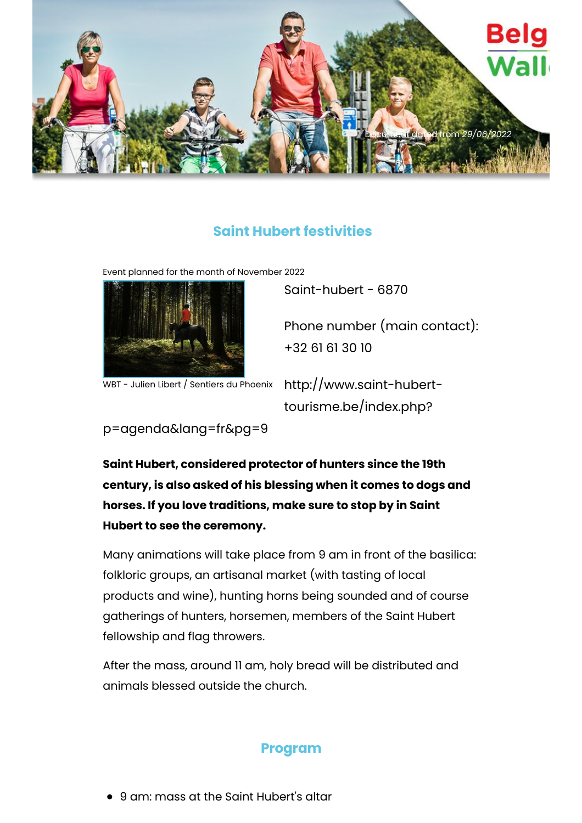

## **Saint Hubert festivities**

Event planned for the month of November 2022



WBT - Julien Libert / Sentiers du Phoenix

Saint-hubert - 6870

Phone number (main contact): +32 61 61 30 10

http://www.saint-huberttourisme.be/index.php?

p=agenda&lang=fr&pg=9

**Saint Hubert, considered protector of hunters since the 19th century, is also asked of his blessing when it comes to dogs and horses. If you love traditions, make sure to stop by in Saint Hubert to see the ceremony.**

Many animations will take place from 9 am in front of the basilica: folkloric groups, an artisanal market (with tasting of local products and wine), hunting horns being sounded and of course gatherings of hunters, horsemen, members of the Saint Hubert fellowship and flag throwers.

After the mass, around 11 am, holy bread will be distributed and animals blessed outside the church.

## **Program**

9 am: mass at the Saint Hubert's altar